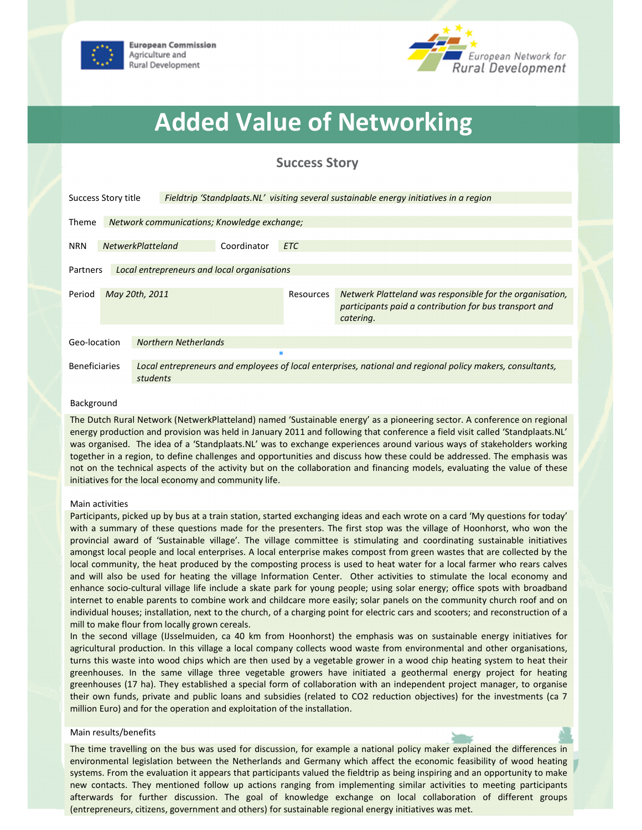



# Added Value of Networking

# Success Story

| Success Story title<br>Fieldtrip 'Standplaats.NL' visiting several sustainable energy initiatives in a region |                                             |                                                                                                                       |            |           |                                                                                                                                 |
|---------------------------------------------------------------------------------------------------------------|---------------------------------------------|-----------------------------------------------------------------------------------------------------------------------|------------|-----------|---------------------------------------------------------------------------------------------------------------------------------|
| Theme                                                                                                         | Network communications; Knowledge exchange; |                                                                                                                       |            |           |                                                                                                                                 |
| <b>NRN</b>                                                                                                    | <b>NetwerkPlatteland</b><br>Coordinator     |                                                                                                                       | <b>ETC</b> |           |                                                                                                                                 |
| Local entrepreneurs and local organisations<br>Partners                                                       |                                             |                                                                                                                       |            |           |                                                                                                                                 |
| Period                                                                                                        | May 20th, 2011                              |                                                                                                                       |            | Resources | Netwerk Platteland was responsible for the organisation,<br>participants paid a contribution for bus transport and<br>catering. |
| <b>Northern Netherlands</b><br>Geo-location                                                                   |                                             |                                                                                                                       |            |           |                                                                                                                                 |
|                                                                                                               |                                             |                                                                                                                       |            |           |                                                                                                                                 |
| <b>Beneficiaries</b>                                                                                          |                                             | Local entrepreneurs and employees of local enterprises, national and regional policy makers, consultants,<br>students |            |           |                                                                                                                                 |

#### Background

The Dutch Rural Network (NetwerkPlatteland) named 'Sustainable energy' as a pioneering sector. A conference on regional energy production and provision was held in January 2011 and following that conference a field visit called 'Standplaats.NL' was organised. The idea of a 'Standplaats.NL' was to exchange experiences around various ways of stakeholders working together in a region, to define challenges and opportunities and discuss how these could be addressed. The emphasis was not on the technical aspects of the activity but on the collaboration and financing models, evaluating the value of these initiatives for the local economy and community life.

#### Main activities

Participants, picked up by bus at a train station, started exchanging ideas and each wrote on a card 'My questions for today' with a summary of these questions made for the presenters. The first stop was the village of Hoonhorst, who won the provincial award of 'Sustainable village'. The village committee is stimulating and coordinating sustainable initiatives amongst local people and local enterprises. A local enterprise makes compost from green wastes that are collected by the local community, the heat produced by the composting process is used to heat water for a local farmer who rears calves and will also be used for heating the village Information Center. Other activities to stimulate the local economy and enhance socio-cultural village life include a skate park for young people; using solar energy; office spots with broadband internet to enable parents to combine work and childcare more easily; solar panels on the community church roof and on individual houses; installation, next to the church, of a charging point for electric cars and scooters; and reconstruction of a mill to make flour from locally grown cereals.

In the second village (IJsselmuiden, ca 40 km from Hoonhorst) the emphasis was on sustainable energy initiatives for agricultural production. In this village a local company collects wood waste from environmental and other organisations, turns this waste into wood chips which are then used by a vegetable grower in a wood chip heating system to heat their greenhouses. In the same village three vegetable growers have initiated a geothermal energy project for heating greenhouses (17 ha). They established a special form of collaboration with an independent project manager, to organise their own funds, private and public loans and subsidies (related to CO2 reduction objectives) for the investments (ca 7 million Euro) and for the operation and exploitation of the installation.

#### Main results/benefits

The time travelling on the bus was used for discussion, for example a national policy maker explained the differences in environmental legislation between the Netherlands and Germany which affect the economic feasibility of wood heating systems. From the evaluation it appears that participants valued the fieldtrip as being inspiring and an opportunity to make new contacts. They mentioned follow up actions ranging from implementing similar activities to meeting participants afterwards for further discussion. The goal of knowledge exchange on local collaboration of different groups (entrepreneurs, citizens, government and others) for sustainable regional energy initiatives was met.